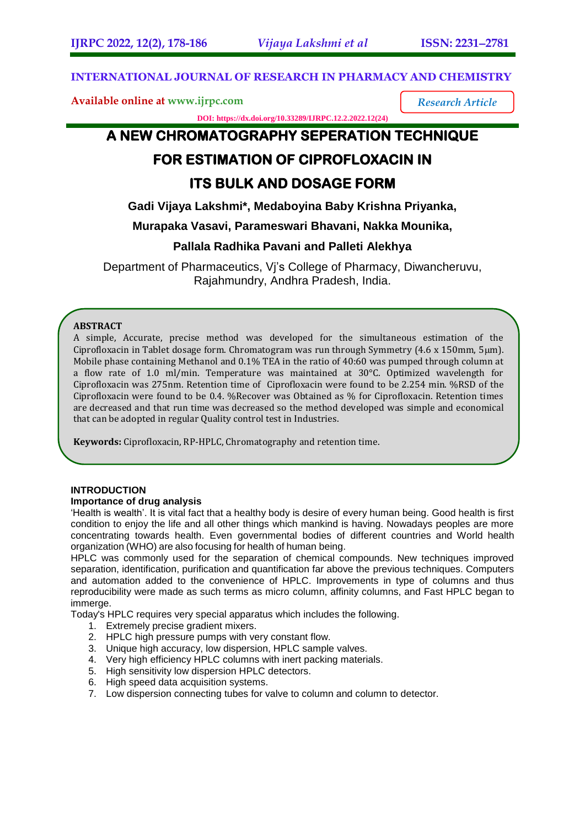*Research Article*

#### **INTERNATIONAL JOURNAL OF RESEARCH IN PHARMACY AND CHEMISTRY**

**Available online at [www.ijrpc.com](http://www.ijrpc.com/)**

**DOI: https://dx.doi.org/10.33289/IJRPC.12.2.2022.12(24)** 

# **A NEW CHROMATOGRAPHY SEPERATION TECHNIQUE**

## **FOR ESTIMATION OF CIPROFLOXACIN IN**

## **ITS BULK AND DOSAGE FORM**

**Gadi Vijaya Lakshmi\*, Medaboyina Baby Krishna Priyanka,** 

**Murapaka Vasavi, Parameswari Bhavani, Nakka Mounika,** 

### **Pallala Radhika Pavani and Palleti Alekhya**

Department of Pharmaceutics, Vj's College of Pharmacy, Diwancheruvu, Rajahmundry, Andhra Pradesh, India.

#### **ABSTRACT**

A simple, Accurate, precise method was developed for the simultaneous estimation of the Ciprofloxacin in Tablet dosage form. Chromatogram was run through Symmetry (4.6 x 150mm, 5µm). Mobile phase containing Methanol and 0.1% TEA in the ratio of 40:60 was pumped through column at a flow rate of 1.0 ml/min. Temperature was maintained at 30°C. Optimized wavelength for Ciprofloxacin was 275nm. Retention time of Ciprofloxacin were found to be 2.254 min. %RSD of the Ciprofloxacin were found to be 0.4. %Recover was Obtained as % for Ciprofloxacin. Retention times are decreased and that run time was decreased so the method developed was simple and economical that can be adopted in regular Quality control test in Industries.

**Keywords:** Ciprofloxacin, RP-HPLC, Chromatography and retention time.

#### **INTRODUCTION**

#### **Importance of drug analysis**

'Health is wealth'. It is vital fact that a healthy body is desire of every human being. Good health is first condition to enjoy the life and all other things which mankind is having. Nowadays peoples are more concentrating towards health. Even governmental bodies of different countries and World health organization (WHO) are also focusing for health of human being.

HPLC was commonly used for the separation of chemical compounds. New techniques improved separation, identification, purification and quantification far above the previous techniques. Computers and automation added to the convenience of HPLC. Improvements in type of columns and thus reproducibility were made as such terms as micro column, affinity columns, and Fast HPLC began to immerge.

Today's HPLC requires very special apparatus which includes the following.

- 1. Extremely precise gradient mixers.
- 2. HPLC high pressure pumps with very constant flow.
- 3. Unique high accuracy, low dispersion, HPLC sample valves.
- 4. Very high efficiency HPLC columns with inert packing materials.
- 5. High sensitivity low dispersion HPLC detectors.
- 6. High speed data acquisition systems.
- 7. Low dispersion connecting tubes for valve to column and column to detector.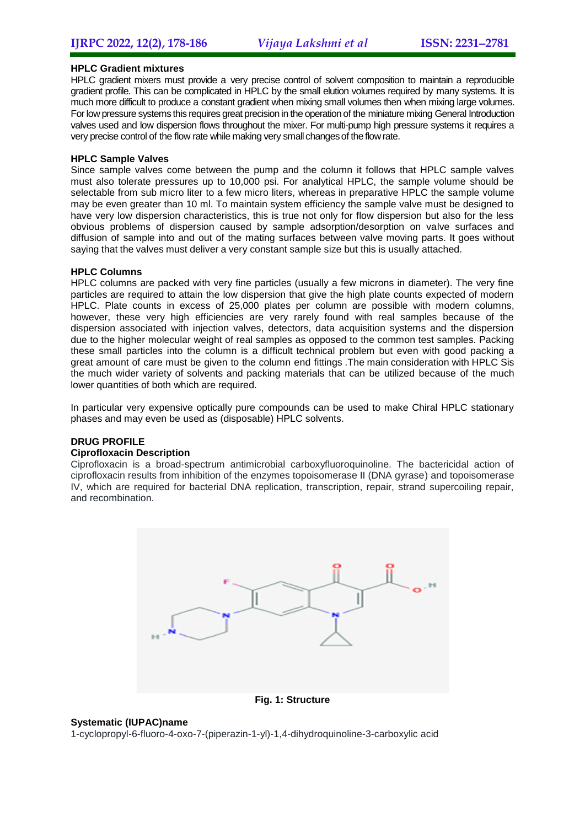#### **HPLC Gradient mixtures**

HPLC gradient mixers must provide a very precise control of solvent composition to maintain a reproducible gradient profile. This can be complicated in HPLC by the small elution volumes required by many systems. It is much more difficult to produce a constant gradient when mixing small volumes then when mixing large volumes. For low pressure systems this requires great precision in the operation of the miniature mixing General Introduction valves used and low dispersion flows throughout the mixer. For multi-pump high pressure systems it requires a very precise control of the flow rate while making very small changes of the flow rate.

#### **HPLC Sample Valves**

Since sample valves come between the pump and the column it follows that HPLC sample valves must also tolerate pressures up to 10,000 psi. For analytical HPLC, the sample volume should be selectable from sub micro liter to a few micro liters, whereas in preparative HPLC the sample volume may be even greater than 10 ml. To maintain system efficiency the sample valve must be designed to have very low dispersion characteristics, this is true not only for flow dispersion but also for the less obvious problems of dispersion caused by sample adsorption/desorption on valve surfaces and diffusion of sample into and out of the mating surfaces between valve moving parts. It goes without saying that the valves must deliver a very constant sample size but this is usually attached.

#### **HPLC Columns**

HPLC columns are packed with very fine particles (usually a few microns in diameter). The very fine particles are required to attain the low dispersion that give the high plate counts expected of modern HPLC. Plate counts in excess of 25,000 plates per column are possible with modern columns, however, these very high efficiencies are very rarely found with real samples because of the dispersion associated with injection valves, detectors, data acquisition systems and the dispersion due to the higher molecular weight of real samples as opposed to the common test samples. Packing these small particles into the column is a difficult technical problem but even with good packing a great amount of care must be given to the column end fittings .The main consideration with HPLC Sis the much wider variety of solvents and packing materials that can be utilized because of the much lower quantities of both which are required.

In particular very expensive optically pure compounds can be used to make Chiral HPLC stationary phases and may even be used as (disposable) HPLC solvents.

#### **DRUG PROFILE**

#### **Ciprofloxacin Description**

Ciprofloxacin is a broad-spectrum antimicrobial carboxyfluoroquinoline. The bactericidal action of ciprofloxacin results from inhibition of the enzymes topoisomerase II (DNA gyrase) and topoisomerase IV, which are required for bacterial DNA replication, transcription, repair, strand supercoiling repair, and recombination.



**Fig. 1: Structure**

#### **Systematic (IUPAC)name**

1-cyclopropyl-6-fluoro-4-oxo-7-(piperazin-1-yl)-1,4-dihydroquinoline-3-carboxylic acid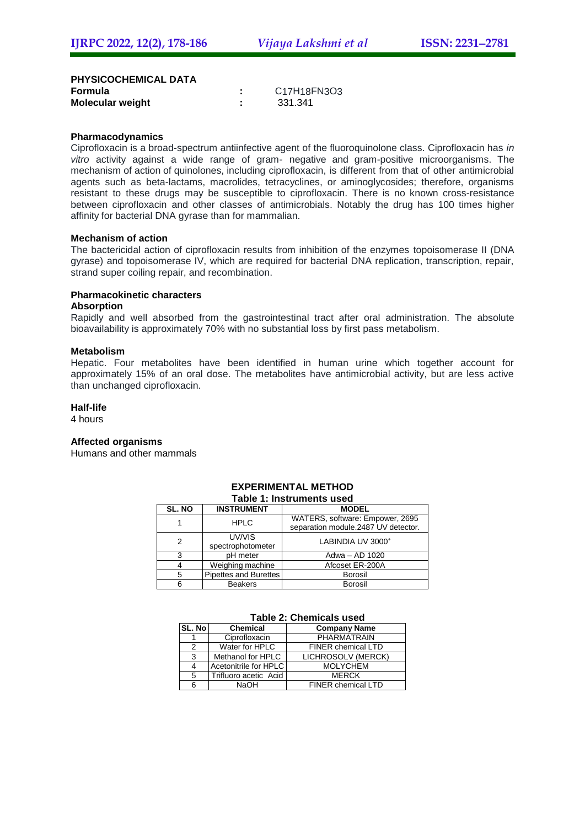**PHYSICOCHEMICAL DATA Formula :** C17H18FN3O3 **Molecular** weight

#### **Pharmacodynamics**

Ciprofloxacin is a broad-spectrum antiinfective agent of the fluoroquinolone class. Ciprofloxacin has *in vitro* activity against a wide range of gram- negative and gram-positive microorganisms. The mechanism of action of quinolones, including ciprofloxacin, is different from that of other antimicrobial agents such as beta-lactams, macrolides, tetracyclines, or aminoglycosides; therefore, organisms resistant to these drugs may be susceptible to ciprofloxacin. There is no known cross-resistance between ciprofloxacin and other classes of antimicrobials. Notably the drug has 100 times higher affinity for bacterial DNA gyrase than for mammalian.

#### **Mechanism of action**

The bactericidal action of ciprofloxacin results from inhibition of the enzymes topoisomerase II (DNA gyrase) and topoisomerase IV, which are required for bacterial DNA replication, transcription, repair, strand super coiling repair, and recombination.

#### **Pharmacokinetic characters**

#### **Absorption**

Rapidly and well absorbed from the gastrointestinal tract after oral administration. The absolute bioavailability is approximately 70% with no substantial loss by first pass metabolism.

#### **Metabolism**

Hepatic. Four metabolites have been identified in human urine which together account for approximately 15% of an oral dose. The metabolites have antimicrobial activity, but are less active than unchanged ciprofloxacin.

#### **Half-life**

4 hours

#### **Affected organisms**

Humans and other mammals

| rapie 1. mstruments used |                                   |                                                                        |  |  |  |  |
|--------------------------|-----------------------------------|------------------------------------------------------------------------|--|--|--|--|
| SL. NO                   | <b>INSTRUMENT</b><br><b>MODEL</b> |                                                                        |  |  |  |  |
|                          | <b>HPLC</b>                       | WATERS, software: Empower, 2695<br>separation module.2487 UV detector. |  |  |  |  |
| 2                        | UV/VIS<br>spectrophotometer       | LABINDIA UV 3000 <sup>+</sup>                                          |  |  |  |  |
| 3                        | pH meter                          | Adwa - AD 1020                                                         |  |  |  |  |
| 4                        | Weighing machine                  | Afcoset ER-200A                                                        |  |  |  |  |
| 5                        | <b>Pipettes and Burettes</b>      | Borosil                                                                |  |  |  |  |
| 6                        | <b>Beakers</b>                    | <b>Borosil</b>                                                         |  |  |  |  |

#### **EXPERIMENTAL METHOD Table 1: Instruments used**

#### **Table 2: Chemicals used**

| SL. No | <b>Chemical</b>       | <b>Company Name</b>       |  |  |
|--------|-----------------------|---------------------------|--|--|
|        | Ciprofloxacin         | <b>PHARMATRAIN</b>        |  |  |
| 2      | Water for HPLC        | <b>FINER chemical LTD</b> |  |  |
| 3      | Methanol for HPLC     | LICHROSOLV (MERCK)        |  |  |
|        | Acetonitrile for HPLC | <b>MOLYCHEM</b>           |  |  |
| 5      | Trifluoro acetic Acid | <b>MERCK</b>              |  |  |
|        | <b>NaOH</b>           | <b>FINER chemical LTD</b> |  |  |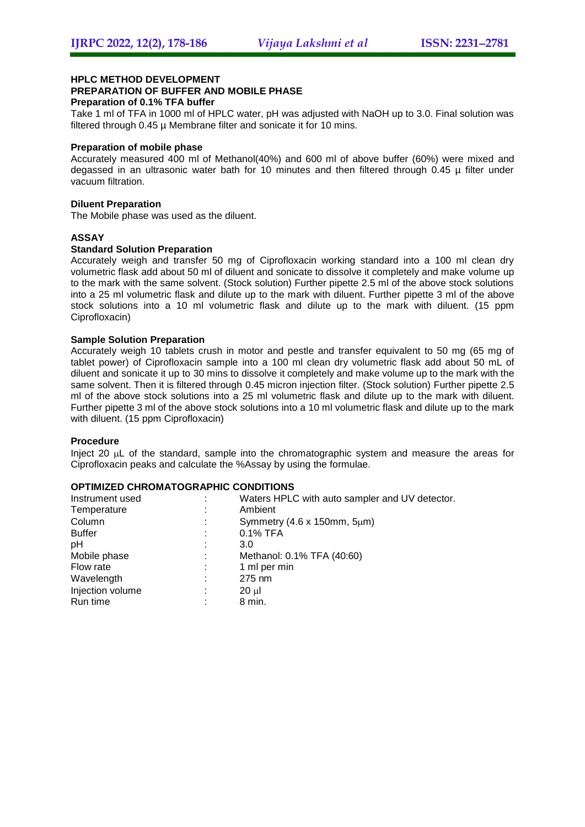#### **HPLC METHOD DEVELOPMENT**

#### **PREPARATION OF BUFFER AND MOBILE PHASE**

#### **Preparation of 0.1% TFA buffer**

Take 1 ml of TFA in 1000 ml of HPLC water, pH was adjusted with NaOH up to 3.0. Final solution was filtered through 0.45 µ Membrane filter and sonicate it for 10 mins.

#### **Preparation of mobile phase**

Accurately measured 400 ml of Methanol(40%) and 600 ml of above buffer (60%) were mixed and degassed in an ultrasonic water bath for 10 minutes and then filtered through 0.45 µ filter under vacuum filtration.

#### **Diluent Preparation**

The Mobile phase was used as the diluent.

#### **ASSAY**

#### **Standard Solution Preparation**

Accurately weigh and transfer 50 mg of Ciprofloxacin working standard into a 100 ml clean dry volumetric flask add about 50 ml of diluent and sonicate to dissolve it completely and make volume up to the mark with the same solvent. (Stock solution) Further pipette 2.5 ml of the above stock solutions into a 25 ml volumetric flask and dilute up to the mark with diluent. Further pipette 3 ml of the above stock solutions into a 10 ml volumetric flask and dilute up to the mark with diluent. (15 ppm Ciprofloxacin)

#### **Sample Solution Preparation**

Accurately weigh 10 tablets crush in motor and pestle and transfer equivalent to 50 mg (65 mg of tablet power) of Ciprofloxacin sample into a 100 ml clean dry volumetric flask add about 50 mL of diluent and sonicate it up to 30 mins to dissolve it completely and make volume up to the mark with the same solvent. Then it is filtered through 0.45 micron injection filter. (Stock solution) Further pipette 2.5 ml of the above stock solutions into a 25 ml volumetric flask and dilute up to the mark with diluent. Further pipette 3 ml of the above stock solutions into a 10 ml volumetric flask and dilute up to the mark with diluent. (15 ppm Ciprofloxacin)

#### **Procedure**

Inject 20  $\mu$ L of the standard, sample into the chromatographic system and measure the areas for Ciprofloxacin peaks and calculate the %Assay by using the formulae.

#### **OPTIMIZED CHROMATOGRAPHIC CONDITIONS**

| Instrument used       | Waters HPLC with auto sampler and UV detector. |
|-----------------------|------------------------------------------------|
| Temperature<br>٠      | Ambient                                        |
| Column<br>÷           | Symmetry $(4.6 \times 150$ mm, $5 \mu m)$      |
| <b>Buffer</b><br>÷    | $0.1\%$ TFA                                    |
| pH<br>٠               | 3.0                                            |
| Mobile phase<br>÷     | Methanol: 0.1% TFA (40:60)                     |
| Flow rate<br>÷        | 1 ml per min                                   |
| Wavelength<br>÷       | 275 nm                                         |
| Injection volume<br>٠ | 20 ul                                          |
| Run time              | 8 min.                                         |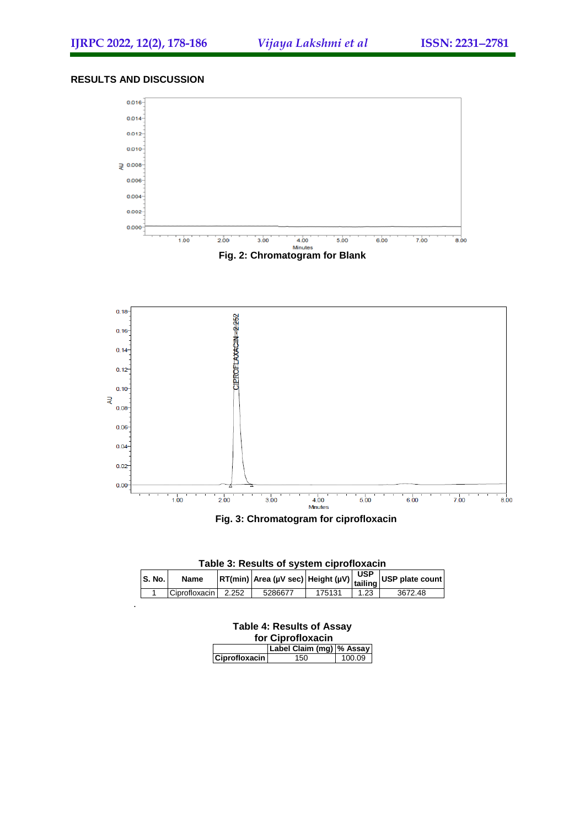#### **RESULTS AND DISCUSSION**

.



|  |  | Fig. 3: Chromatogram for ciprofloxacin |  |  |  |
|--|--|----------------------------------------|--|--|--|
|--|--|----------------------------------------|--|--|--|

| Table 3: Results of system ciprofloxacin |               |       |         |        |      |                                                                                                                       |
|------------------------------------------|---------------|-------|---------|--------|------|-----------------------------------------------------------------------------------------------------------------------|
| <b>S. No.</b>                            | Name          |       |         |        |      | $\left  RT(min) \right $ Area (µV sec) Height (µV) $\left  \frac{\text{USP}}{\text{tailing}} \right $ USP plate count |
|                                          | Ciprofloxacin | 2.252 | 5286677 | 175131 | 1.23 | 3672.48                                                                                                               |

| <b>Table 4: Results of Assay</b><br>for Ciprofloxacin |                          |        |  |  |  |
|-------------------------------------------------------|--------------------------|--------|--|--|--|
|                                                       | Label Claim (mg) % Assay |        |  |  |  |
| <b>Ciprofloxacin</b>                                  | 150                      | 100.09 |  |  |  |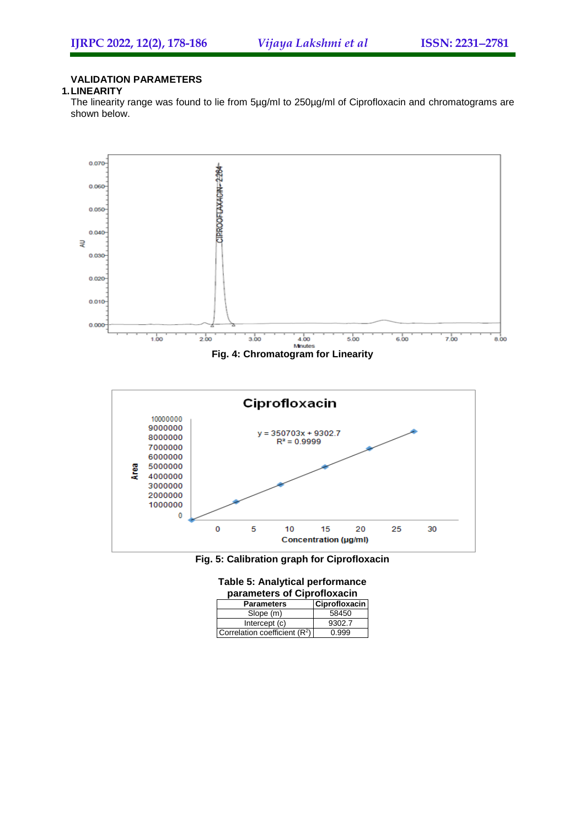#### **VALIDATION PARAMETERS**

#### **1.LINEARITY**

The linearity range was found to lie from 5µg/ml to 250µg/ml of Ciprofloxacin and chromatograms are shown below.





| <b>Table 5: Analytical performance</b> |  |
|----------------------------------------|--|
| parameters of Ciprofloxacin            |  |

| <b>Parameters</b>              | Ciprofloxacin |
|--------------------------------|---------------|
| Slope (m)                      | 58450         |
| Intercept (c)                  | 9302.7        |
| Correlation coefficient $(R2)$ | 0.999         |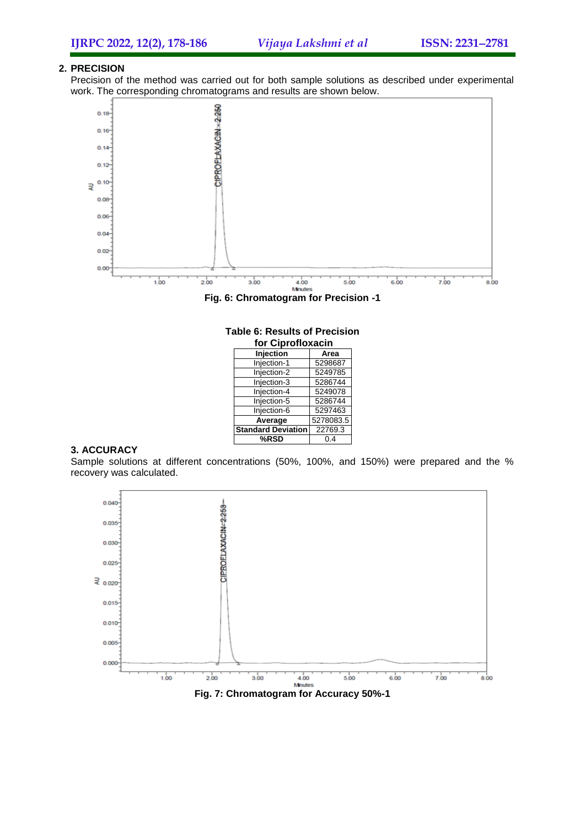#### **2. PRECISION**

Precision of the method was carried out for both sample solutions as described under experimental work. The corresponding chromatograms and results are shown below.



**Fig. 6: Chromatogram for Precision -1**

| for Ciprofloxacin         |           |  |  |
|---------------------------|-----------|--|--|
| <b>Injection</b><br>Area  |           |  |  |
| Injection-1               | 5298687   |  |  |
| Injection-2               | 5249785   |  |  |
| Injection-3               | 5286744   |  |  |
| Injection-4               | 5249078   |  |  |
| Injection-5               | 5286744   |  |  |
| Injection-6               | 5297463   |  |  |
| Average                   | 5278083.5 |  |  |
| <b>Standard Deviation</b> | 22769.3   |  |  |
| %RSD                      | 0.4       |  |  |

## **Table 6: Results of Precision**

#### **3. ACCURACY**

Sample solutions at different concentrations (50%, 100%, and 150%) were prepared and the % recovery was calculated.

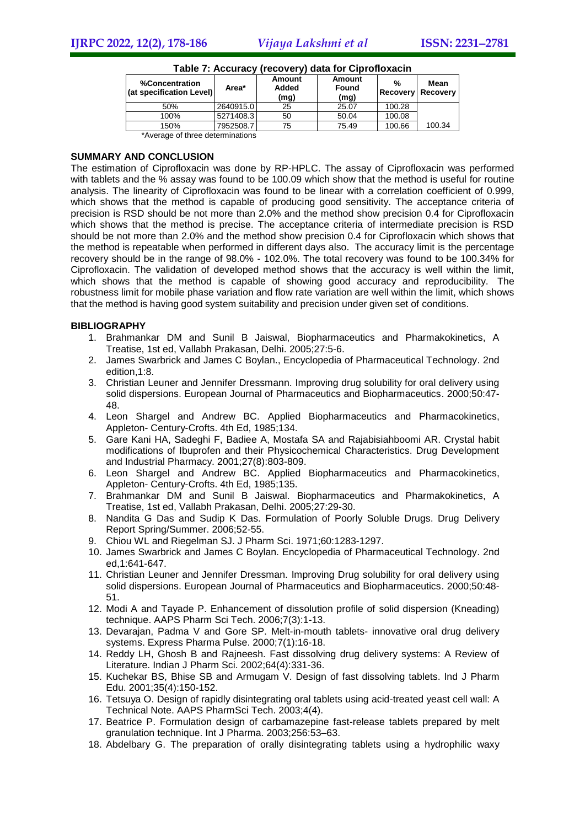| %Concentration<br>(at specification Level) | Area*     | Amount<br>Added<br>(mg) | <b>Amount</b><br>Found<br>(mg) | %      | Mean<br>Recovery Recovery |
|--------------------------------------------|-----------|-------------------------|--------------------------------|--------|---------------------------|
| 50%                                        | 2640915.0 | 25                      | 25.07                          | 100.28 |                           |
| 100%                                       | 5271408.3 | 50                      | 50.04                          | 100.08 |                           |
| 150%                                       | 7952508.7 | 75                      | 75.49                          | 100.66 | 100.34                    |
| *Average of three determinations           |           |                         |                                |        |                           |

**Table 7: Accuracy (recovery) data for Ciprofloxacin**

#### **SUMMARY AND CONCLUSION**

The estimation of Ciprofloxacin was done by RP-HPLC. The assay of Ciprofloxacin was performed with tablets and the % assay was found to be 100.09 which show that the method is useful for routine analysis. The linearity of Ciprofloxacin was found to be linear with a correlation coefficient of 0.999, which shows that the method is capable of producing good sensitivity. The acceptance criteria of precision is RSD should be not more than 2.0% and the method show precision 0.4 for Ciprofloxacin which shows that the method is precise. The acceptance criteria of intermediate precision is RSD should be not more than 2.0% and the method show precision 0.4 for Ciprofloxacin which shows that the method is repeatable when performed in different days also. The accuracy limit is the percentage recovery should be in the range of 98.0% - 102.0%. The total recovery was found to be 100.34% for Ciprofloxacin. The validation of developed method shows that the accuracy is well within the limit, which shows that the method is capable of showing good accuracy and reproducibility. The robustness limit for mobile phase variation and flow rate variation are well within the limit, which shows that the method is having good system suitability and precision under given set of conditions.

#### **BIBLIOGRAPHY**

- 1. Brahmankar DM and Sunil B Jaiswal, Biopharmaceutics and Pharmakokinetics, A Treatise, 1st ed, Vallabh Prakasan, Delhi. 2005;27:5-6.
- 2. James Swarbrick and James C Boylan., Encyclopedia of Pharmaceutical Technology. 2nd edition,1:8.
- 3. Christian Leuner and Jennifer Dressmann. Improving drug solubility for oral delivery using solid dispersions. European Journal of Pharmaceutics and Biopharmaceutics. 2000;50:47- 48.
- 4. Leon Shargel and Andrew BC. Applied Biopharmaceutics and Pharmacokinetics, Appleton- Century-Crofts. 4th Ed, 1985;134.
- 5. Gare Kani HA, Sadeghi F, Badiee A, Mostafa SA and Rajabisiahboomi AR. Crystal habit modifications of Ibuprofen and their Physicochemical Characteristics. Drug Development and Industrial Pharmacy. 2001;27(8):803-809.
- 6. Leon Shargel and Andrew BC. Applied Biopharmaceutics and Pharmacokinetics, Appleton- Century-Crofts. 4th Ed, 1985;135.
- 7. Brahmankar DM and Sunil B Jaiswal. Biopharmaceutics and Pharmakokinetics, A Treatise, 1st ed, Vallabh Prakasan, Delhi. 2005;27:29-30.
- 8. Nandita G Das and Sudip K Das. Formulation of Poorly Soluble Drugs. Drug Delivery Report Spring/Summer. 2006;52-55.
- 9. Chiou WL and Riegelman SJ. J Pharm Sci. 1971;60:1283-1297.
- 10. James Swarbrick and James C Boylan. Encyclopedia of Pharmaceutical Technology. 2nd ed,1:641-647.
- 11. Christian Leuner and Jennifer Dressman. Improving Drug solubility for oral delivery using solid dispersions. European Journal of Pharmaceutics and Biopharmaceutics. 2000;50:48- 51.
- 12. Modi A and Tayade P. Enhancement of dissolution profile of solid dispersion (Kneading) technique. AAPS Pharm Sci Tech. 2006;7(3):1-13.
- 13. Devarajan, Padma V and Gore SP. Melt-in-mouth tablets- innovative oral drug delivery systems. Express Pharma Pulse. 2000;7(1):16-18.
- 14. Reddy LH, Ghosh B and Rajneesh. Fast dissolving drug delivery systems: A Review of Literature. Indian J Pharm Sci. 2002;64(4):331-36.
- 15. Kuchekar BS, Bhise SB and Armugam V. Design of fast dissolving tablets. Ind J Pharm Edu. 2001;35(4):150-152.
- 16. Tetsuya O. Design of rapidly disintegrating oral tablets using acid-treated yeast cell wall: A Technical Note. AAPS PharmSci Tech. 2003;4(4).
- 17. Beatrice P. Formulation design of carbamazepine fast-release tablets prepared by melt granulation technique. Int J Pharma. 2003;256:53–63.
- 18. Abdelbary G. The preparation of orally disintegrating tablets using a hydrophilic waxy